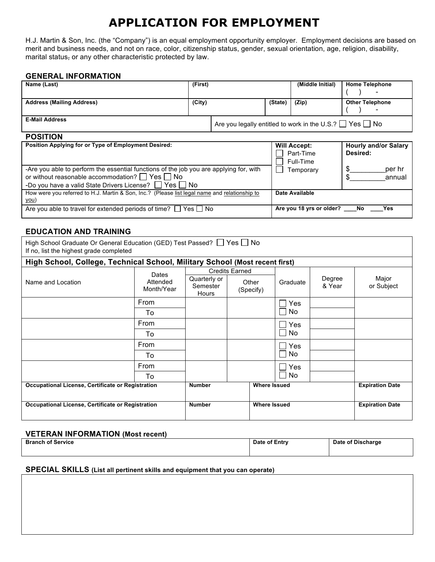# **APPLICATION FOR EMPLOYMENT**

H.J. Martin & Son, Inc. (the "Company") is an equal employment opportunity employer. Employment decisions are based on merit and business needs, and not on race, color, citizenship status, gender, sexual orientation, age, religion, disability, marital status, or any other characteristic protected by law.

## **GENERAL INFORMATION**

| Name (Last)                      | (First) |                                                                      |         | (Middle Initial) | <b>Home Telephone</b>    |
|----------------------------------|---------|----------------------------------------------------------------------|---------|------------------|--------------------------|
|                                  |         |                                                                      |         |                  | $\overline{\phantom{a}}$ |
| <b>Address (Mailing Address)</b> | (City)  |                                                                      | (State) | (Zip)            | <b>Other Telephone</b>   |
|                                  |         |                                                                      |         |                  | $\overline{\phantom{a}}$ |
| <b>E-Mail Address</b>            |         | ' Are you legally entitled to work in the U.S.? $\Box$ Yes $\Box$ No |         |                  |                          |

# **POSITION**

| Position Applying for or Type of Employment Desired:                                                                                                                                                                    | <b>Will Accept:</b><br>Part-Time<br>Full-Time | <b>Hourly and/or Salary</b><br>Desired: |
|-------------------------------------------------------------------------------------------------------------------------------------------------------------------------------------------------------------------------|-----------------------------------------------|-----------------------------------------|
| -Are you able to perform the essential functions of the job you are applying for, with<br>or without reasonable accommodation? $\Box$ Yes $\Box$ No<br>-Do you have a valid State Drivers License? $\Box$ Yes $\Box$ No | Temporary                                     | per hr<br>annual                        |
| How were you referred to H.J. Martin & Son, Inc.? (Please list legal name and relationship to<br>you)                                                                                                                   | Date Available                                |                                         |
| Are you able to travel for extended periods of time? $\Box$ Yes $\Box$ No                                                                                                                                               | Are you 18 yrs or older? No                   | <b>Property</b>                         |

## **EDUCATION AND TRAINING**

| High School Graduate Or General Education (GED) Test Passed? □ Yes □ No<br>If no, list the highest grade completed |                        |                   |                       |                     |            |        |                        |
|--------------------------------------------------------------------------------------------------------------------|------------------------|-------------------|-----------------------|---------------------|------------|--------|------------------------|
| High School, College, Technical School, Military School (Most recent first)                                        |                        |                   |                       |                     |            |        |                        |
|                                                                                                                    | Dates                  | Quarterly or      | <b>Credits Earned</b> |                     |            | Degree | Major                  |
| Name and Location                                                                                                  | Attended<br>Month/Year | Semester<br>Hours |                       | Other<br>(Specify)  | Graduate   | & Year | or Subject             |
|                                                                                                                    | <b>From</b>            |                   |                       |                     | Yes        |        |                        |
|                                                                                                                    | To                     |                   |                       |                     | No.        |        |                        |
|                                                                                                                    | From                   |                   |                       |                     | Yes        |        |                        |
|                                                                                                                    | To                     |                   |                       |                     | No.        |        |                        |
|                                                                                                                    | From                   |                   |                       |                     | <b>Yes</b> |        |                        |
|                                                                                                                    | To                     |                   |                       |                     | No.        |        |                        |
|                                                                                                                    | From                   |                   |                       |                     | Yes        |        |                        |
|                                                                                                                    | To                     |                   |                       |                     | No.        |        |                        |
| Occupational License, Certificate or Registration                                                                  |                        | <b>Number</b>     |                       | <b>Where Issued</b> |            |        | <b>Expiration Date</b> |
| Occupational License, Certificate or Registration                                                                  |                        | <b>Number</b>     |                       | <b>Where Issued</b> |            |        | <b>Expiration Date</b> |

#### **VETERAN INFORMATION (Most recent)**

| <b>Branch of Service</b> | Date of Entry | Date of Discharge |
|--------------------------|---------------|-------------------|
|                          |               |                   |

## **SPECIAL SKILLS (List all pertinent skills and equipment that you can operate)**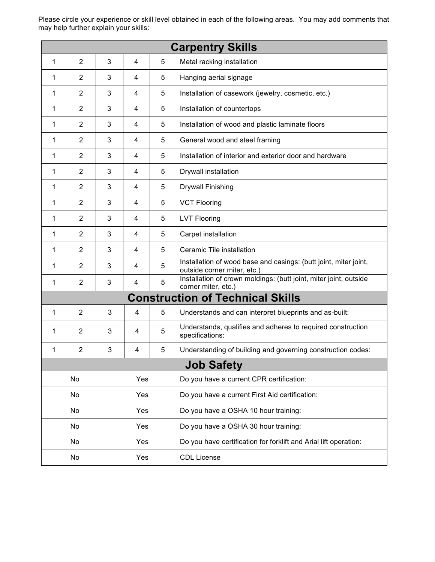Please circle your experience or skill level obtained in each of the following areas. You may add comments that may help further explain your skills:

|                                                       |                                                   |                                                |                                      |   | <b>Carpentry Skills</b>                                                                         |  |
|-------------------------------------------------------|---------------------------------------------------|------------------------------------------------|--------------------------------------|---|-------------------------------------------------------------------------------------------------|--|
| 1                                                     | $\overline{2}$                                    | 3                                              | 4                                    | 5 | Metal racking installation                                                                      |  |
| 1                                                     | $\overline{2}$                                    | 3                                              | 4                                    | 5 | Hanging aerial signage                                                                          |  |
| 1                                                     | $\overline{2}$                                    | 3                                              | 4                                    | 5 | Installation of casework (jewelry, cosmetic, etc.)                                              |  |
| 1                                                     | $\overline{2}$                                    | 3                                              | 4                                    | 5 | Installation of countertops                                                                     |  |
| 1                                                     | 2                                                 | 3                                              | 4                                    | 5 | Installation of wood and plastic laminate floors                                                |  |
| 1                                                     | 2                                                 | 3                                              | 4                                    | 5 | General wood and steel framing                                                                  |  |
| 1                                                     | $\overline{2}$                                    | 3                                              | 4                                    | 5 | Installation of interior and exterior door and hardware                                         |  |
| 1                                                     | 2                                                 | 3                                              | 4                                    | 5 | Drywall installation                                                                            |  |
| 1                                                     | 2                                                 | 3                                              | 4                                    | 5 | <b>Drywall Finishing</b>                                                                        |  |
| 1                                                     | $\overline{2}$                                    | 3                                              | 4                                    | 5 | <b>VCT Flooring</b>                                                                             |  |
| 1                                                     | $\overline{2}$                                    | 3                                              | 4                                    | 5 | <b>LVT Flooring</b>                                                                             |  |
| 1                                                     | 2                                                 | 3                                              | 4                                    | 5 | Carpet installation                                                                             |  |
| 1                                                     | $\overline{2}$                                    | 3                                              | 4                                    | 5 | Ceramic Tile installation                                                                       |  |
| 1                                                     | 2                                                 | 3                                              | 4                                    | 5 | Installation of wood base and casings: (butt joint, miter joint,<br>outside corner miter, etc.) |  |
| 1                                                     | $\overline{2}$                                    | 3                                              | 4                                    | 5 | Installation of crown moldings: (butt joint, miter joint, outside<br>corner miter, etc.)        |  |
|                                                       |                                                   |                                                |                                      |   | <b>Construction of Technical Skills</b>                                                         |  |
| 1                                                     | 2                                                 | 3                                              | 4                                    | 5 | Understands and can interpret blueprints and as-built:                                          |  |
| 1                                                     | $\overline{2}$                                    | 3                                              | 4                                    | 5 | Understands, qualifies and adheres to required construction<br>specifications:                  |  |
| 1                                                     | $\overline{2}$                                    | 3                                              | 4                                    | 5 | Understanding of building and governing construction codes:                                     |  |
|                                                       |                                                   |                                                |                                      |   | <b>Job Safety</b>                                                                               |  |
| No<br>Yes<br>Do you have a current CPR certification: |                                                   |                                                |                                      |   |                                                                                                 |  |
| No<br>Yes                                             |                                                   | Do you have a current First Aid certification: |                                      |   |                                                                                                 |  |
| Yes<br>No                                             |                                                   |                                                | Do you have a OSHA 10 hour training: |   |                                                                                                 |  |
|                                                       | No<br>Yes<br>Do you have a OSHA 30 hour training: |                                                |                                      |   |                                                                                                 |  |
|                                                       | No                                                |                                                | Yes                                  |   | Do you have certification for forklift and Arial lift operation:                                |  |
| Yes<br><b>CDL License</b><br>No                       |                                                   |                                                |                                      |   |                                                                                                 |  |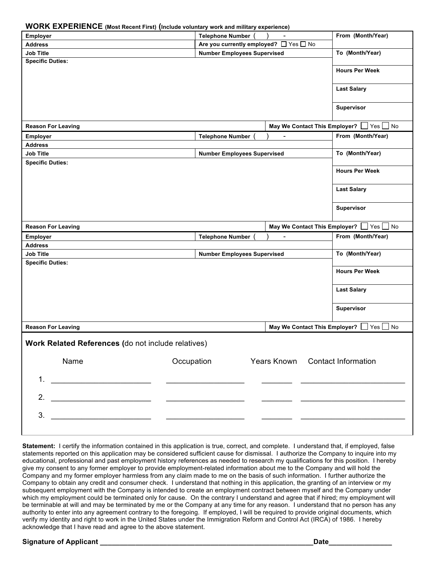#### **WORK EXPERIENCE (Most Recent First) (Include voluntary work and military experience)**

| <b>WORK EXPERIENCE</b> (Most Recent First) (Include voluntary work and military experience) |                                        |                                 |                                          |
|---------------------------------------------------------------------------------------------|----------------------------------------|---------------------------------|------------------------------------------|
| <b>Employer</b>                                                                             | <b>Telephone Number</b>                |                                 | From (Month/Year)                        |
| <b>Address</b>                                                                              | Are you currently employed? □ Yes □ No |                                 |                                          |
| <b>Job Title</b>                                                                            | <b>Number Employees Supervised</b>     |                                 | To (Month/Year)                          |
| <b>Specific Duties:</b>                                                                     |                                        |                                 |                                          |
|                                                                                             |                                        |                                 | <b>Hours Per Week</b>                    |
|                                                                                             |                                        |                                 |                                          |
|                                                                                             |                                        |                                 | <b>Last Salary</b>                       |
|                                                                                             |                                        |                                 |                                          |
|                                                                                             |                                        |                                 |                                          |
|                                                                                             |                                        |                                 | Supervisor                               |
|                                                                                             |                                        |                                 |                                          |
| <b>Reason For Leaving</b>                                                                   |                                        |                                 | May We Contact This Employer?   Yes   No |
| <b>Employer</b>                                                                             | <b>Telephone Number</b>                | -                               | From (Month/Year)                        |
| <b>Address</b>                                                                              |                                        |                                 |                                          |
| <b>Job Title</b>                                                                            | <b>Number Employees Supervised</b>     |                                 | To (Month/Year)                          |
| <b>Specific Duties:</b>                                                                     |                                        |                                 |                                          |
|                                                                                             |                                        |                                 | <b>Hours Per Week</b>                    |
|                                                                                             |                                        |                                 |                                          |
|                                                                                             |                                        |                                 | <b>Last Salary</b>                       |
|                                                                                             |                                        |                                 |                                          |
|                                                                                             |                                        |                                 |                                          |
|                                                                                             |                                        |                                 | Supervisor                               |
|                                                                                             |                                        |                                 |                                          |
| <b>Reason For Leaving</b>                                                                   |                                        |                                 | May We Contact This Employer? Ves No     |
| <b>Employer</b>                                                                             | <b>Telephone Number</b>                | $\overline{\phantom{0}}$        | From (Month/Year)                        |
| <b>Address</b>                                                                              |                                        |                                 |                                          |
| <b>Job Title</b>                                                                            | <b>Number Employees Supervised</b>     |                                 | To (Month/Year)                          |
| <b>Specific Duties:</b>                                                                     |                                        |                                 |                                          |
|                                                                                             |                                        |                                 | <b>Hours Per Week</b>                    |
|                                                                                             |                                        |                                 |                                          |
|                                                                                             |                                        |                                 | <b>Last Salary</b>                       |
|                                                                                             |                                        |                                 |                                          |
|                                                                                             |                                        |                                 |                                          |
|                                                                                             |                                        |                                 | <b>Supervisor</b>                        |
|                                                                                             |                                        |                                 |                                          |
| <b>Reason For Leaving</b>                                                                   |                                        | May We Contact This Employer?   | <b>No</b><br>$Yes$                       |
|                                                                                             |                                        |                                 |                                          |
| Work Related References (do not include relatives)                                          |                                        |                                 |                                          |
|                                                                                             |                                        |                                 |                                          |
| Name<br>Occupation                                                                          |                                        | Years Known Contact Information |                                          |
|                                                                                             |                                        |                                 |                                          |
| 1.<br><u> 1980 - Johann John Stein, fransk politik (f. 1980)</u>                            |                                        |                                 |                                          |
|                                                                                             |                                        |                                 |                                          |
| 2.                                                                                          |                                        |                                 |                                          |
|                                                                                             |                                        |                                 |                                          |
| 3.<br><u> 1989 - Jan James James, martin amerikan bizi</u>                                  |                                        |                                 |                                          |
|                                                                                             |                                        |                                 |                                          |

**Statement:** I certify the information contained in this application is true, correct, and complete. I understand that, if employed, false statements reported on this application may be considered sufficient cause for dismissal. I authorize the Company to inquire into my educational, professional and past employment history references as needed to research my qualifications for this position. I hereby give my consent to any former employer to provide employment-related information about me to the Company and will hold the Company and my former employer harmless from any claim made to me on the basis of such information. I further authorize the Company to obtain any credit and consumer check. I understand that nothing in this application, the granting of an interview or my subsequent employment with the Company is intended to create an employment contract between myself and the Company under which my employment could be terminated only for cause. On the contrary I understand and agree that if hired; my employment will be terminable at will and may be terminated by me or the Company at any time for any reason. I understand that no person has any authority to enter into any agreement contrary to the foregoing. If employed, I will be required to provide original documents, which verify my identity and right to work in the United States under the Immigration Reform and Control Act (IRCA) of 1986. I hereby acknowledge that I have read and agree to the above statement.

#### **Signature of Applicant \_\_\_\_\_\_\_\_\_\_\_\_\_\_\_\_\_\_\_\_\_\_\_\_\_\_\_\_\_\_\_\_\_\_\_\_\_\_\_\_\_\_\_\_\_\_\_\_\_\_\_\_\_\_Date\_\_\_\_\_\_\_\_\_\_\_\_\_\_\_\_**